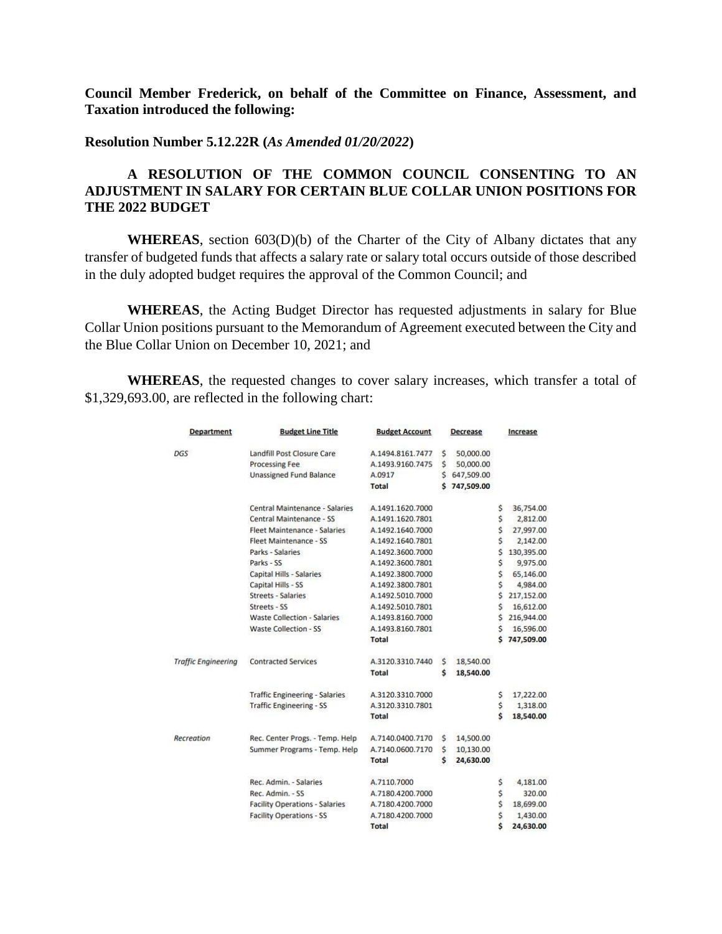**Council Member Frederick, on behalf of the Committee on Finance, Assessment, and Taxation introduced the following:**

**Resolution Number 5.12.22R (***As Amended 01/20/2022***)**

## **A RESOLUTION OF THE COMMON COUNCIL CONSENTING TO AN ADJUSTMENT IN SALARY FOR CERTAIN BLUE COLLAR UNION POSITIONS FOR THE 2022 BUDGET**

**WHEREAS**, section 603(D)(b) of the Charter of the City of Albany dictates that any transfer of budgeted funds that affects a salary rate or salary total occurs outside of those described in the duly adopted budget requires the approval of the Common Council; and

**WHEREAS**, the Acting Budget Director has requested adjustments in salary for Blue Collar Union positions pursuant to the Memorandum of Agreement executed between the City and the Blue Collar Union on December 10, 2021; and

**WHEREAS**, the requested changes to cover salary increases, which transfer a total of \$1,329,693.00, are reflected in the following chart:

| <b>Department</b>          | <b>Budget Line Title</b>              | <b>Budget Account</b> |    | Decrease     |    | Increase   |
|----------------------------|---------------------------------------|-----------------------|----|--------------|----|------------|
| DGS                        | Landfill Post Closure Care            | A.1494.8161.7477      | Š. | 50,000.00    |    |            |
|                            | <b>Processing Fee</b>                 | A.1493.9160.7475      | Ś. | 50,000.00    |    |            |
|                            | <b>Unassigned Fund Balance</b>        | A.0917                |    | \$647,509.00 |    |            |
|                            |                                       | <b>Total</b>          |    | \$747,509.00 |    |            |
|                            | Central Maintenance - Salaries        | A.1491.1620.7000      |    |              | \$ | 36,754.00  |
|                            | Central Maintenance - SS              | A.1491.1620.7801      |    |              | \$ | 2,812.00   |
|                            | <b>Fleet Maintenance - Salaries</b>   | A.1492.1640.7000      |    |              | \$ | 27,997.00  |
|                            | Fleet Maintenance - SS                | A.1492.1640.7801      |    |              | Ś  | 2,142.00   |
|                            | Parks - Salaries                      | A.1492.3600.7000      |    |              | Ś  | 130,395.00 |
|                            | Parks - SS                            | A.1492.3600.7801      |    |              | Ś  | 9,975.00   |
|                            | Capital Hills - Salaries              | A.1492.3800.7000      |    |              | Ś  | 65,146.00  |
|                            | Capital Hills - SS                    | A.1492.3800.7801      |    |              | Ś  | 4,984.00   |
|                            | <b>Streets - Salaries</b>             | A.1492.5010.7000      |    |              | Ś  | 217,152.00 |
|                            | Streets - SS                          | A.1492.5010.7801      |    |              | Ś. | 16,612.00  |
|                            | <b>Waste Collection - Salaries</b>    | A.1493.8160.7000      |    |              | Ś  | 216,944.00 |
|                            | Waste Collection - SS                 | A.1493.8160.7801      |    |              | Ś. | 16,596.00  |
|                            |                                       | <b>Total</b>          |    |              | \$ | 747,509.00 |
| <b>Traffic Engineering</b> | <b>Contracted Services</b>            | A.3120.3310.7440      | Ś. | 18,540.00    |    |            |
|                            |                                       | <b>Total</b>          | Ś  | 18,540.00    |    |            |
|                            | <b>Traffic Engineering - Salaries</b> | A.3120.3310.7000      |    |              | \$ | 17,222.00  |
|                            | <b>Traffic Engineering - SS</b>       | A.3120.3310.7801      |    |              | \$ | 1,318.00   |
|                            |                                       | Total                 |    |              | Ś  | 18,540.00  |
| Recreation                 | Rec. Center Progs. - Temp. Help       | A.7140.0400.7170      | s  | 14,500.00    |    |            |
|                            | Summer Programs - Temp. Help          | A.7140.0600.7170      | \$ | 10,130.00    |    |            |
|                            |                                       | <b>Total</b>          | \$ | 24,630.00    |    |            |
|                            | Rec. Admin. - Salaries                | A.7110.7000           |    |              | \$ | 4,181.00   |
|                            | Rec. Admin. - SS                      | A.7180.4200.7000      |    |              | \$ | 320.00     |
|                            | <b>Facility Operations - Salaries</b> | A.7180.4200.7000      |    |              | \$ | 18,699.00  |
|                            | <b>Facility Operations - SS</b>       | A.7180.4200.7000      |    |              | \$ | 1,430.00   |
|                            |                                       | Total                 |    |              | Ś  | 24,630.00  |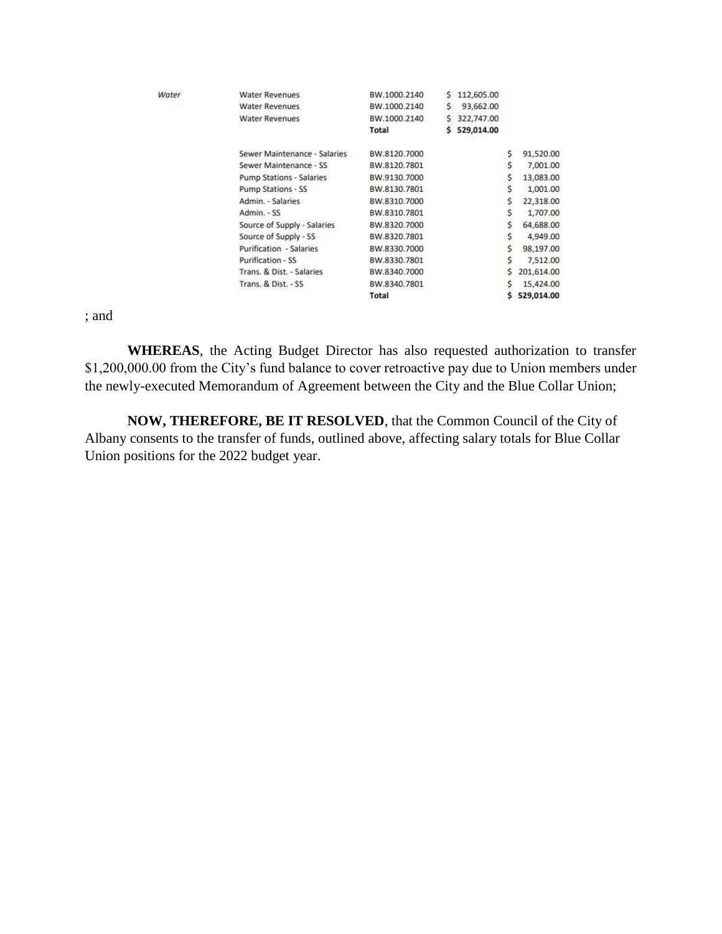| Water | <b>Water Revenues</b>           | BW.1000.2140 | s. | 112,605.00 |    |            |
|-------|---------------------------------|--------------|----|------------|----|------------|
|       | <b>Water Revenues</b>           | BW.1000.2140 | s. | 93,662.00  |    |            |
|       | <b>Water Revenues</b>           | BW.1000.2140 | s. | 322,747.00 |    |            |
|       |                                 | Total        | s  | 529,014.00 |    |            |
|       | Sewer Maintenance - Salaries    | BW.8120.7000 |    |            | \$ | 91,520.00  |
|       | Sewer Maintenance - SS          | BW.8120.7801 |    |            | Ś. | 7,001.00   |
|       | <b>Pump Stations - Salaries</b> | BW.9130.7000 |    |            | \$ | 13,083.00  |
|       | Pump Stations - SS              | BW.8130.7801 |    |            | \$ | 1,001.00   |
|       | Admin. - Salaries               | BW.8310.7000 |    |            | s  | 22,318.00  |
|       | Admin. - SS                     | BW.8310.7801 |    |            | S  | 1,707.00   |
|       | Source of Supply - Salaries     | BW.8320.7000 |    |            | Ś  | 64,688.00  |
|       | Source of Supply - SS           | BW.8320.7801 |    |            | S  | 4,949.00   |
|       | <b>Purification - Salaries</b>  | BW.8330.7000 |    |            | \$ | 98,197.00  |
|       | Purification - SS               | BW.8330.7801 |    |            | S. | 7,512.00   |
|       | Trans. & Dist. - Salaries       | BW.8340.7000 |    |            |    | 201,614.00 |
|       | Trans. & Dist. - SS             | BW.8340.7801 |    |            |    | 15,424.00  |
|       |                                 | Total        |    |            |    | 529,014.00 |

; and

**WHEREAS**, the Acting Budget Director has also requested authorization to transfer \$1,200,000.00 from the City's fund balance to cover retroactive pay due to Union members under the newly-executed Memorandum of Agreement between the City and the Blue Collar Union;

**NOW, THEREFORE, BE IT RESOLVED**, that the Common Council of the City of Albany consents to the transfer of funds, outlined above, affecting salary totals for Blue Collar Union positions for the 2022 budget year.